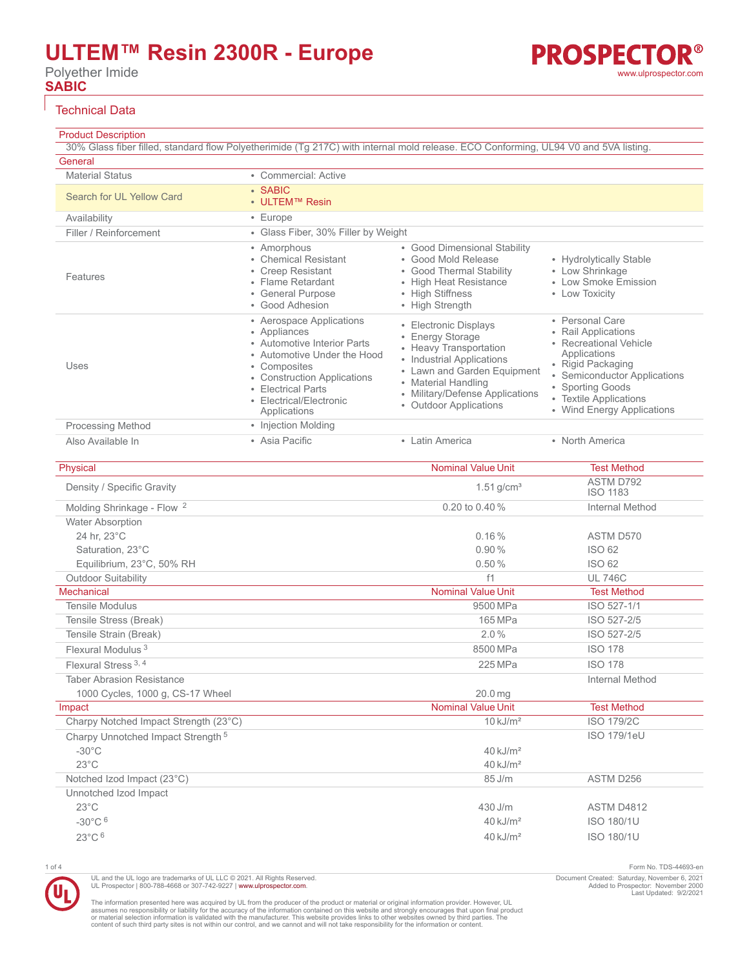# **ULTEM™ Resin 2300R - Europe**

Polyether Imide **SABIC**

### Technical Data

### Product Description

30% Glass fiber filled, standard flow Polyetherimide (Tg 217C) with internal mold release. ECO Conforming, UL94 V0 and 5VA listing. **General** Material Status **• Commercial: Active** 

| Search for UL Yellow Card | $\cdot$ SABIC<br>• ULTEM™ Resin                                                                                                                                                                                        |                                                                                                                                                                                                                     |                                                                                                                                                                                                                   |
|---------------------------|------------------------------------------------------------------------------------------------------------------------------------------------------------------------------------------------------------------------|---------------------------------------------------------------------------------------------------------------------------------------------------------------------------------------------------------------------|-------------------------------------------------------------------------------------------------------------------------------------------------------------------------------------------------------------------|
| Availability              | $\cdot$ Europe                                                                                                                                                                                                         |                                                                                                                                                                                                                     |                                                                                                                                                                                                                   |
| Filler / Reinforcement    | • Glass Fiber, 30% Filler by Weight                                                                                                                                                                                    |                                                                                                                                                                                                                     |                                                                                                                                                                                                                   |
| Features                  | • Amorphous<br>• Chemical Resistant<br>• Creep Resistant<br>• Flame Retardant<br>• General Purpose<br>• Good Adhesion                                                                                                  | • Good Dimensional Stability<br>• Good Mold Release<br>• Good Thermal Stability<br>• High Heat Resistance<br>• High Stiffness<br>• High Strength                                                                    | • Hydrolytically Stable<br>• Low Shrinkage<br>• Low Smoke Emission<br>• Low Toxicity                                                                                                                              |
| Uses                      | • Aerospace Applications<br>• Appliances<br>• Automotive Interior Parts<br>• Automotive Under the Hood<br>• Composites<br>• Construction Applications<br>• Electrical Parts<br>• Electrical/Electronic<br>Applications | • Electronic Displays<br>• Energy Storage<br>• Heavy Transportation<br>• Industrial Applications<br>• Lawn and Garden Equipment<br>• Material Handling<br>• Military/Defense Applications<br>• Outdoor Applications | • Personal Care<br>• Rail Applications<br>• Recreational Vehicle<br>Applications<br>• Rigid Packaging<br>• Semiconductor Applications<br>• Sporting Goods<br>• Textile Applications<br>• Wind Energy Applications |
| <b>Processing Method</b>  | • Injection Molding                                                                                                                                                                                                    |                                                                                                                                                                                                                     |                                                                                                                                                                                                                   |
| Also Available In         | • Asia Pacific                                                                                                                                                                                                         | • Latin America                                                                                                                                                                                                     | • North America                                                                                                                                                                                                   |

| Physical                                      | <b>Nominal Value Unit</b> | <b>Test Method</b>           |
|-----------------------------------------------|---------------------------|------------------------------|
| Density / Specific Gravity                    | $1.51$ g/cm <sup>3</sup>  | ASTM D792<br><b>ISO 1183</b> |
| Molding Shrinkage - Flow <sup>2</sup>         | 0.20 to 0.40 %            | <b>Internal Method</b>       |
| <b>Water Absorption</b>                       |                           |                              |
| 24 hr, 23°C                                   | 0.16%                     | ASTM D570                    |
| Saturation, 23°C                              | 0.90%                     | ISO 62                       |
| Equilibrium, 23°C, 50% RH                     | 0.50%                     | <b>ISO 62</b>                |
| <b>Outdoor Suitability</b>                    | f1                        | <b>UL 746C</b>               |
| Mechanical                                    | <b>Nominal Value Unit</b> | <b>Test Method</b>           |
| <b>Tensile Modulus</b>                        | 9500 MPa                  | ISO 527-1/1                  |
| Tensile Stress (Break)                        | 165 MPa                   | ISO 527-2/5                  |
| Tensile Strain (Break)                        | 2.0%                      | ISO 527-2/5                  |
| Flexural Modulus <sup>3</sup>                 | 8500 MPa                  | <b>ISO 178</b>               |
| Flexural Stress <sup>3, 4</sup>               | 225 MPa                   | <b>ISO 178</b>               |
| <b>Taber Abrasion Resistance</b>              |                           | <b>Internal Method</b>       |
| 1000 Cycles, 1000 g, CS-17 Wheel              | 20.0 <sub>ma</sub>        |                              |
| Impact                                        | <b>Nominal Value Unit</b> | <b>Test Method</b>           |
| Charpy Notched Impact Strength (23°C)         | $10 \text{ kJ/m}^2$       | <b>ISO 179/2C</b>            |
| Charpy Unnotched Impact Strength <sup>5</sup> |                           | <b>ISO 179/1eU</b>           |
| $-30^{\circ}$ C                               | $40$ kJ/m <sup>2</sup>    |                              |
| $23^{\circ}$ C                                | $40 \text{ kJ/m}^2$       |                              |
| Notched Izod Impact (23°C)                    | 85 J/m                    | ASTM D256                    |
| Unnotched Izod Impact                         |                           |                              |
| $23^{\circ}$ C                                | 430 J/m                   | ASTM D4812                   |
| $-30^{\circ}$ C $6$                           | $40$ kJ/m <sup>2</sup>    | <b>ISO 180/1U</b>            |
| 23°C 6                                        | $40$ kJ/m <sup>2</sup>    | <b>ISO 180/1U</b>            |

UL and the UL logo are trademarks of UL LLC © 2021. All Rights Reserved. UL Prospector | 800-788-4668 or 307-742-9227 | [www.ulprospector.com](http://www.ulprospector.com).

1 of 4 Form No. TDS-44693-en Document Created: Saturday, November 6, 2021 Added to Prospector: November 2000 Last Updated: 9/2/2021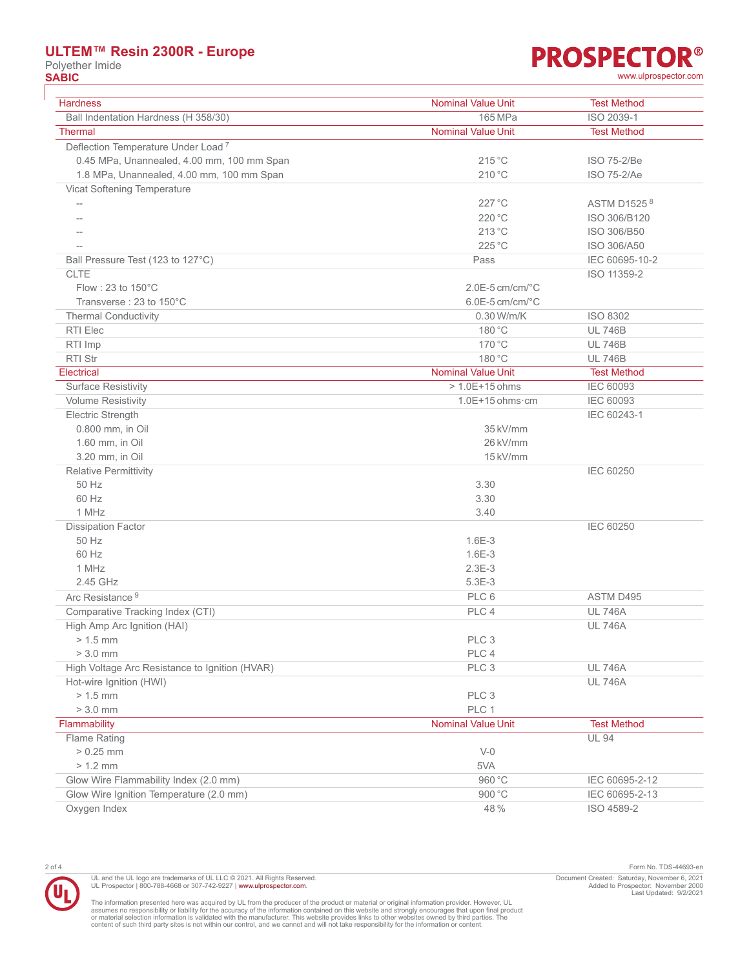### **ULTEM™ Resin 2300R - Europe**

Polyether Imide<br> **SABIC** 

### **PROSPECTOR® SABIC** [www.ulprospector.com](http://www.ulprospector.com)

| <b>Hardness</b>                                | <b>Nominal Value Unit</b>    | <b>Test Method</b> |
|------------------------------------------------|------------------------------|--------------------|
| Ball Indentation Hardness (H 358/30)           | 165 MPa                      | ISO 2039-1         |
| <b>Thermal</b>                                 | <b>Nominal Value Unit</b>    | <b>Test Method</b> |
| Deflection Temperature Under Load <sup>7</sup> |                              |                    |
| 0.45 MPa, Unannealed, 4.00 mm, 100 mm Span     | 215 °C                       | ISO 75-2/Be        |
| 1.8 MPa, Unannealed, 4.00 mm, 100 mm Span      | 210 °C                       | ISO 75-2/Ae        |
| Vicat Softening Temperature                    |                              |                    |
|                                                | $227^{\circ}$ C              | ASTM D1525 8       |
|                                                | 220 °C                       | ISO 306/B120       |
|                                                | 213 °C                       | ISO 306/B50        |
|                                                | $225^{\circ}$ C              | ISO 306/A50        |
| Ball Pressure Test (123 to 127°C)              | Pass                         | IEC 60695-10-2     |
| <b>CLTE</b>                                    |                              | ISO 11359-2        |
| Flow: 23 to $150^{\circ}$ C                    | $2.0E-5$ cm/cm/ $°C$         |                    |
| Transverse: 23 to 150°C                        | $6.0E-5$ cm/cm/ $^{\circ}$ C |                    |
| <b>Thermal Conductivity</b>                    | 0.30 W/m/K                   | ISO 8302           |
| RTI Elec                                       | 180 °C                       | <b>UL 746B</b>     |
| RTI Imp                                        | 170 °C                       | <b>UL 746B</b>     |
| <b>RTI Str</b>                                 | 180 °C                       | <b>UL 746B</b>     |
| <b>Electrical</b>                              | <b>Nominal Value Unit</b>    | <b>Test Method</b> |
| <b>Surface Resistivity</b>                     | $> 1.0E + 15$ ohms           | <b>IEC 60093</b>   |
| <b>Volume Resistivity</b>                      | $1.0E+15$ ohms $\cdot$ cm    | <b>IEC 60093</b>   |
| Electric Strength                              |                              | IEC 60243-1        |
| 0.800 mm, in Oil                               | 35 kV/mm                     |                    |
| 1.60 mm, in Oil                                | 26 kV/mm                     |                    |
| 3.20 mm, in Oil                                | 15 kV/mm                     |                    |
| <b>Relative Permittivity</b>                   |                              | <b>IEC 60250</b>   |
| 50 Hz                                          | 3.30                         |                    |
| 60 Hz                                          | 3.30                         |                    |
| 1 MHz                                          | 3.40                         |                    |
| <b>Dissipation Factor</b>                      |                              | <b>IEC 60250</b>   |
| 50 Hz                                          | $1.6E-3$                     |                    |
| 60 Hz                                          | $1.6E-3$                     |                    |
| 1 MHz                                          | $2.3E-3$                     |                    |
| 2.45 GHz                                       | $5.3E-3$                     |                    |
| Arc Resistance <sup>9</sup>                    | PLC 6                        | ASTM D495          |
| Comparative Tracking Index (CTI)               | PLC 4                        | <b>UL 746A</b>     |
| High Amp Arc Ignition (HAI)                    |                              | <b>UL 746A</b>     |
| $> 1.5$ mm                                     | PLC 3                        |                    |
| $> 3.0$ mm                                     | PLC 4                        |                    |
| High Voltage Arc Resistance to Ignition (HVAR) | PLC 3                        | <b>UL 746A</b>     |
| Hot-wire Ignition (HWI)                        |                              | <b>UL 746A</b>     |
| $> 1.5$ mm                                     | PLC 3                        |                    |
| $> 3.0$ mm                                     | PLC 1                        |                    |
| Flammability                                   | <b>Nominal Value Unit</b>    | <b>Test Method</b> |
| Flame Rating                                   |                              | <b>UL 94</b>       |
| $> 0.25$ mm                                    | $V-0$                        |                    |
| $> 1.2$ mm                                     | 5VA                          |                    |
| Glow Wire Flammability Index (2.0 mm)          | 960 °C                       | IEC 60695-2-12     |
| Glow Wire Ignition Temperature (2.0 mm)        | 900 °C                       | IEC 60695-2-13     |
| Oxygen Index                                   | 48 %                         | ISO 4589-2         |

UL and the UL logo are trademarks of UL LLC © 2021. All Rights Reserved.<br>UL Prospector | 800-788-4668 or 307-742-9227 | [www.ulprospector.com](http://www.ulprospector.com).

2 of 4 Form No. TDS-44693-en Document Created: Saturday, November 6, 2021 Added to Prospector: November 2000 Last Updated: 9/2/2021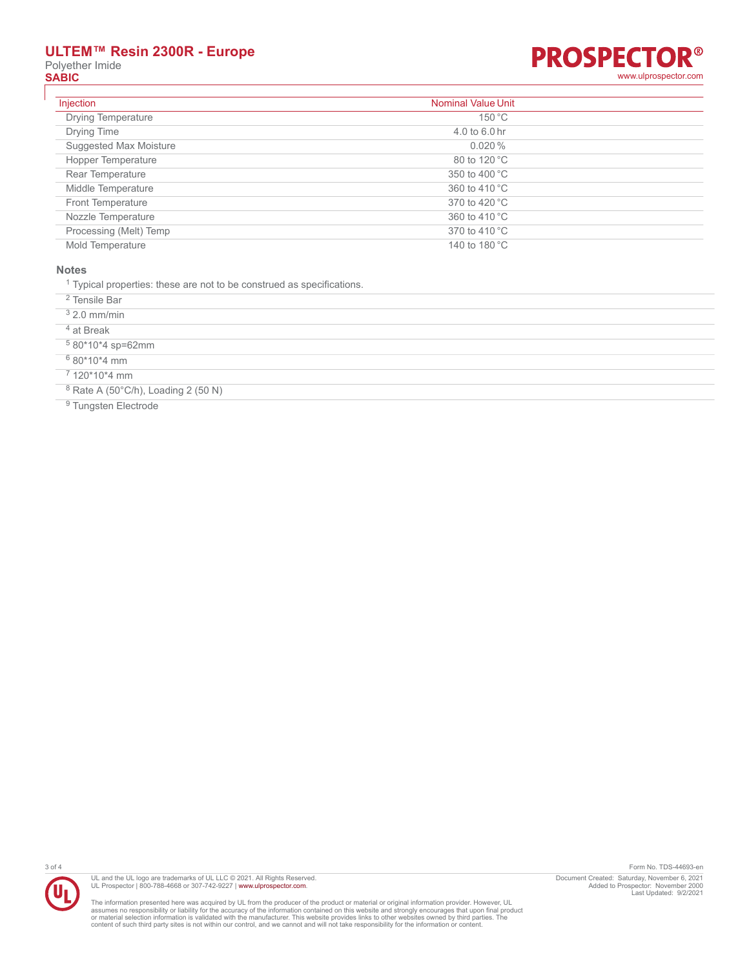## **ULTEM™ Resin 2300R - Europe** Polyether Imide<br> **SABIC**



| Injection                 | <b>Nominal Value Unit</b> |
|---------------------------|---------------------------|
| <b>Drying Temperature</b> | 150 °C                    |
| Drying Time               | $4.0$ to 6.0 hr           |
| Suggested Max Moisture    | $0.020\%$                 |
| Hopper Temperature        | 80 to 120 °C              |
| Rear Temperature          | 350 to 400 °C             |
| Middle Temperature        | 360 to 410 °C             |
| <b>Front Temperature</b>  | 370 to 420 °C             |
| Nozzle Temperature        | 360 to 410 °C             |
| Processing (Melt) Temp    | 370 to 410 °C             |
| Mold Temperature          | 140 to 180 °C             |

#### **Notes**

<sup>1</sup> Typical properties: these are not to be construed as specifications.

2 Tensile Bar

3 2.0 mm/min

4 at Break

5 80\*10\*4 sp=62mm

6 80\*10\*4 mm

7 120\*10\*4 mm

<sup>8</sup> Rate A (50°C/h), Loading 2 (50 N)

<sup>9</sup> Tungsten Electrode



UL and the UL logo are trademarks of UL LLC © 2021. All Rights Reserved.<br>UL Prospector | 800-788-4668 or 307-742-9227 | [www.ulprospector.com](http://www.ulprospector.com).